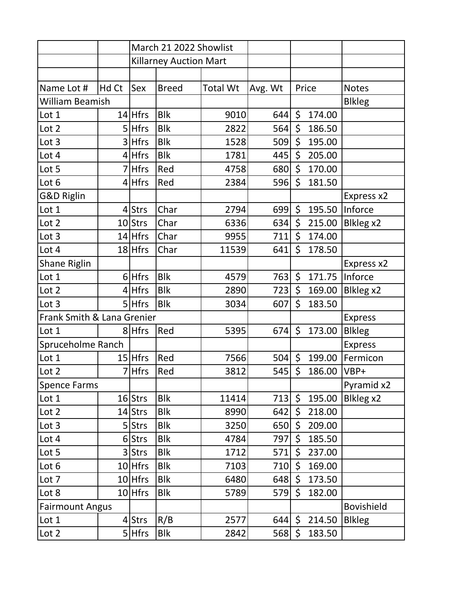|                            |       | March 21 2022 Showlist        |              |                 |         |         |        |                   |
|----------------------------|-------|-------------------------------|--------------|-----------------|---------|---------|--------|-------------------|
|                            |       | <b>Killarney Auction Mart</b> |              |                 |         |         |        |                   |
|                            |       |                               |              |                 |         |         |        |                   |
| Name Lot #                 | Hd Ct | Sex                           | <b>Breed</b> | <b>Total Wt</b> | Avg. Wt | Price   |        | <b>Notes</b>      |
| <b>William Beamish</b>     |       |                               |              |                 |         |         |        | <b>Blkleg</b>     |
| Lot 1                      |       | 14 Hfrs                       | <b>Blk</b>   | 9010            | 644     | \$      | 174.00 |                   |
| Lot 2                      |       | 5 Hfrs                        | <b>Blk</b>   | 2822            | 564     | \$      | 186.50 |                   |
| Lot 3                      |       | 3 Hfrs                        | <b>Blk</b>   | 1528            | 509     | \$      | 195.00 |                   |
| Lot 4                      |       | $4$ Hfrs                      | <b>Blk</b>   | 1781            | 445     | \$      | 205.00 |                   |
| Lot 5                      |       | 7 Hfrs                        | Red          | 4758            | 680     | \$      | 170.00 |                   |
| Lot 6                      |       | $4$ Hfrs                      | Red          | 2384            | 596     | \$      | 181.50 |                   |
| <b>G&amp;D Riglin</b>      |       |                               |              |                 |         |         |        | Express x2        |
| Lot 1                      |       | $4$ Strs                      | Char         | 2794            | 699     | \$      | 195.50 | Inforce           |
| Lot 2                      |       | 10 Strs                       | Char         | 6336            | 634     | \$      | 215.00 | Blkleg x2         |
| Lot 3                      |       | $14$ Hfrs                     | Char         | 9955            | 711     | \$      | 174.00 |                   |
| Lot 4                      |       | 18 Hfrs                       | Char         | 11539           | 641     | \$      | 178.50 |                   |
| <b>Shane Riglin</b>        |       |                               |              |                 |         |         |        | Express x2        |
| Lot 1                      |       | $6$ Hfrs                      | <b>Blk</b>   | 4579            | 763     | \$      | 171.75 | Inforce           |
| Lot 2                      |       | $4$ Hfrs                      | <b>Blk</b>   | 2890            | 723     | \$      | 169.00 | Blkleg x2         |
| Lot 3                      |       | $5$ Hfrs                      | <b>Blk</b>   | 3034            | 607     | \$      | 183.50 |                   |
| Frank Smith & Lana Grenier |       |                               |              |                 |         |         |        | <b>Express</b>    |
| Lot 1                      |       | 8 Hfrs                        | Red          | 5395            | 674     | \$      | 173.00 | <b>Blkleg</b>     |
| Spruceholme Ranch          |       |                               |              |                 |         |         |        | <b>Express</b>    |
| Lot 1                      |       | $15$ Hfrs                     | Red          | 7566            | 504     | \$      | 199.00 | Fermicon          |
| Lot 2                      |       | 7 Hfrs                        | Red          | 3812            | 545     | \$      | 186.00 | VBP+              |
| <b>Spence Farms</b>        |       |                               |              |                 |         |         |        | Pyramid x2        |
| Lot 1                      |       | 16 Strs                       | <b>Blk</b>   | 11414           | 713     | $\zeta$ | 195.00 | Blkleg x2         |
| Lot 2                      |       | 14 Strs                       | <b>Blk</b>   | 8990            | 642     | \$      | 218.00 |                   |
| Lot 3                      |       | 5 Strs                        | <b>Blk</b>   | 3250            | 650     | \$      | 209.00 |                   |
| Lot 4                      |       | 6 Strs                        | <b>Blk</b>   | 4784            | 797     | \$      | 185.50 |                   |
| Lot 5                      |       | 3 Strs                        | <b>Blk</b>   | 1712            | 571     | \$      | 237.00 |                   |
| Lot 6                      |       | 10 Hfrs                       | <b>Blk</b>   | 7103            | 710     | \$      | 169.00 |                   |
| Lot 7                      |       | $10$ Hfrs                     | <b>Blk</b>   | 6480            | 648     | \$      | 173.50 |                   |
| Lot 8                      |       | $10$ Hfrs                     | <b>Blk</b>   | 5789            | 579     | \$      | 182.00 |                   |
| <b>Fairmount Angus</b>     |       |                               |              |                 |         |         |        | <b>Bovishield</b> |
| Lot 1                      |       | $4$ Strs                      | R/B          | 2577            | 644     | \$      | 214.50 | <b>Blkleg</b>     |
| Lot 2                      |       | $5$ Hfrs                      | <b>Blk</b>   | 2842            | 568     | \$      | 183.50 |                   |